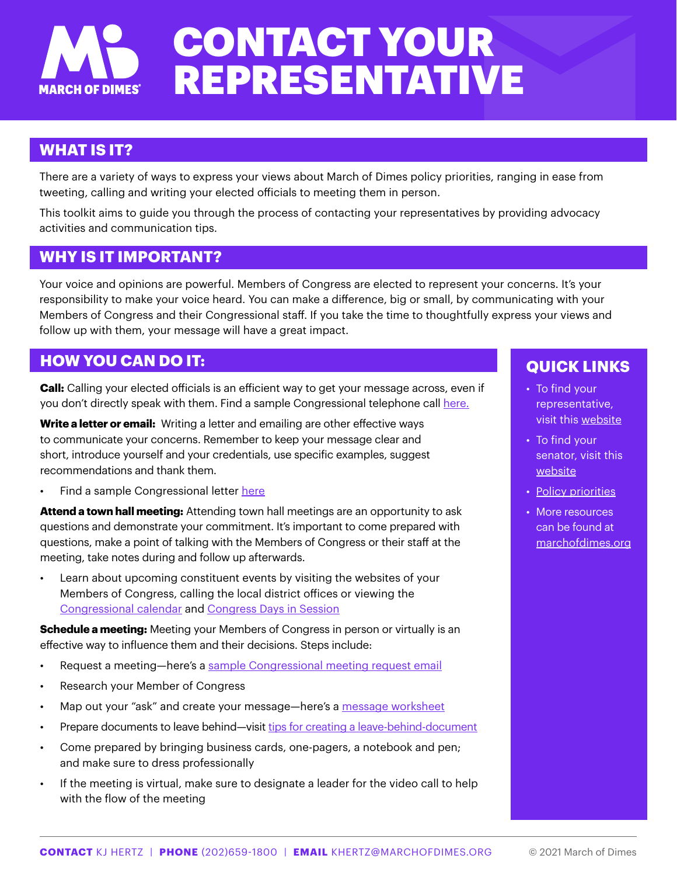## CONTACT YOUR REPRESENTATIVE **MARCH OF DIMES**

## **WHAT IS IT?**

There are a variety of ways to express your views about March of Dimes policy priorities, ranging in ease from tweeting, calling and writing your elected officials to meeting them in person.

This toolkit aims to guide you through the process of contacting your representatives by providing advocacy activities and communication tips.

## **WHY IS IT IMPORTANT?**

Your voice and opinions are powerful. Members of Congress are elected to represent your concerns. It's your responsibility to make your voice heard. You can make a difference, big or small, by communicating with your Members of Congress and their Congressional staff. If you take the time to thoughtfully express your views and follow up with them, your message will have a great impact.

## **HOW YOU CAN DO IT:**

**Call:** Calling your elected officials is an efficient way to get your message across, even if you don't directly speak with them. Find a sample Congressional telephone call [here.](https://www.asbmb.org/advocacy/toolkit/call-your-legislator)

**Write a letter or email:** Writing a letter and emailing are other effective ways to communicate your concerns. Remember to keep your message clear and short, introduce yourself and your credentials, use specific examples, suggest recommendations and thank them.

• Find a sample Congressional letter [here](https://www.asbmb.org/Advocacy/advocacy.aspx?id=14388)

**Attend a town hall meeting:** Attending town hall meetings are an opportunity to ask questions and demonstrate your commitment. It's important to come prepared with questions, make a point of talking with the Members of Congress or their staff at the meeting, take notes during and follow up afterwards.

Learn about upcoming constituent events by visiting the websites of your Members of Congress, calling the local district offices or viewing the [Congressional calendar](https://www.house.gov/) and [Congress Days in Session](https://www.congress.gov/days-in-session)

**Schedule a meeting:** Meeting your Members of Congress in person or virtually is an effective way to influence them and their decisions. Steps include:

- Request a meeting-here's a [sample Congressional meeting request email](https://sciencepolicy.agu.org/files/2017/01/Meeting-Request-Example-Email.pdf)
- Research your Member of Congress
- Map out your "ask" and create your message—here's a [message worksheet](https://sharingscience.agu.org/files/2014/10/AGU-Message-Worksheet-web-version.pdf)
- Prepare documents to leave behind—visit [tips for creating a leave-behind-document](https://sciencepolicy.agu.org/files/2017/01/Tips-for-Creating-a-One-Page-Leave-Behind-2016.pdf)
- Come prepared by bringing business cards, one-pagers, a notebook and pen; and make sure to dress professionally
- If the meeting is virtual, make sure to designate a leader for the video call to help with the flow of the meeting

## **QUICK LINKS**

- To find your representative, visit this [website](https://www.house.gov/representatives)
- To find your senator, visit this [website](https://www.senate.gov/general/contact_information/senators_cfm.cfm)
- [Policy priorities](https://www.marchofdimes.org/advocacy/government-affairs-advocacy-priorities.aspx)
- More resources can be found at [marchofdimes.org](http://marchofdimes.org)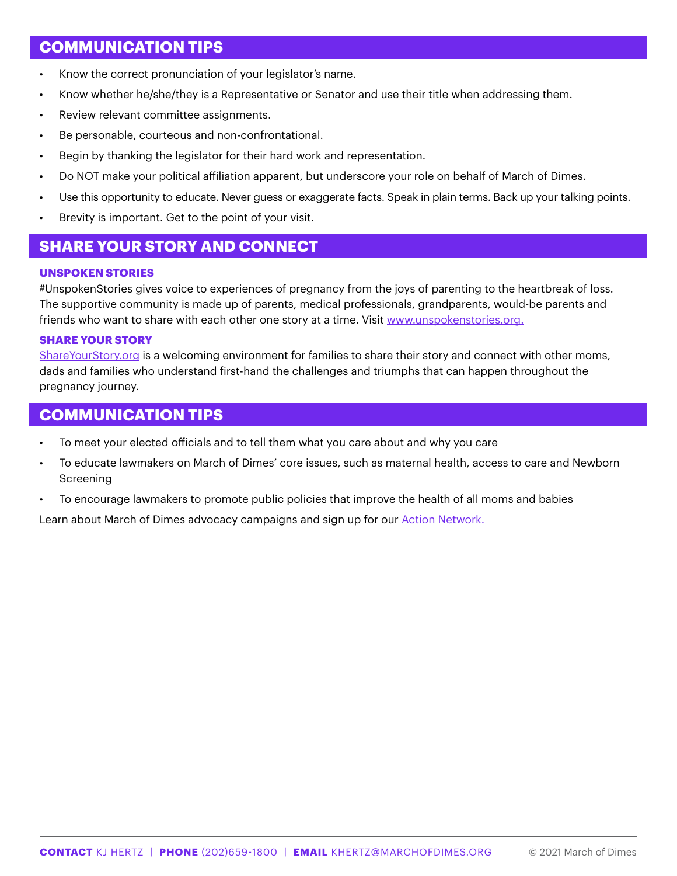## **COMMUNICATION TIPS**

- Know the correct pronunciation of your legislator's name.
- Know whether he/she/they is a Representative or Senator and use their title when addressing them.
- Review relevant committee assignments.
- Be personable, courteous and non-confrontational.
- Begin by thanking the legislator for their hard work and representation.
- Do NOT make your political affiliation apparent, but underscore your role on behalf of March of Dimes.
- Use this opportunity to educate. Never guess or exaggerate facts. Speak in plain terms. Back up your talking points.
- Brevity is important. Get to the point of your visit.

## **SHARE YOUR STORY AND CONNECT**

#### **UNSPOKEN STORIES**

#UnspokenStories gives voice to experiences of pregnancy from the joys of parenting to the heartbreak of loss. The supportive community is made up of parents, medical professionals, grandparents, would-be parents and friends who want to share with each other one story at a time. Visit [www.unspokenstories.org](http://www.unspokenstories.org).

#### **SHARE YOUR STORY**

[ShareYourStory.org](https://share.marchofdimes.org/) is a welcoming environment for families to share their story and connect with other moms, dads and families who understand first-hand the challenges and triumphs that can happen throughout the pregnancy journey.

## **COMMUNICATION TIPS**

- To meet your elected officials and to tell them what you care about and why you care
- To educate lawmakers on March of Dimes' core issues, such as maternal health, access to care and Newborn Screening
- To encourage lawmakers to promote public policies that improve the health of all moms and babies

Learn about March of Dimes advocacy campaigns and sign up for our [Action Network.](https://actioncenter.marchofdimes.org/?0)